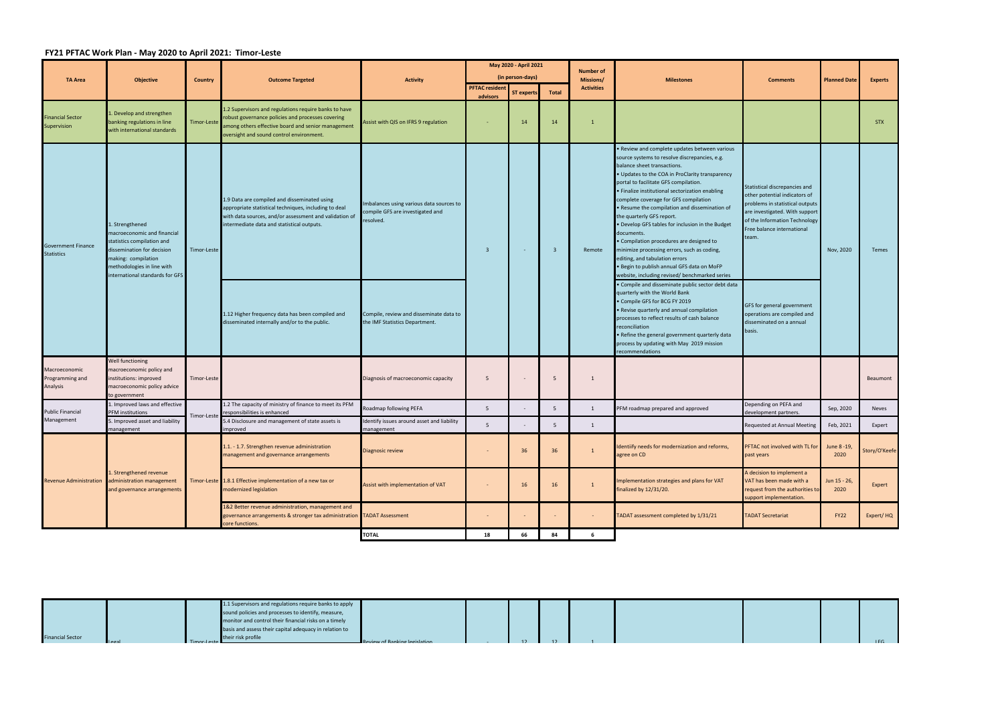## **FY21 PFTAC Work Plan ‐ May 2020 to April 2021: Timor‐Leste**

|                                                |                                                                                                                                                                                                   |                |                                                                                                                                                                                                              |                                                                                          |                                   | May 2020 - April 2021<br>(in person-days) |                         | <b>Number of</b>                      | <b>Milestones</b>                                                                                                                                                                                                                                                                                                                                                                                                                                                                                                                                                                                                                                                                                                                                                                                                                                                                                                                                                                                                                                          | <b>Comments</b>                                                                                                                                                                                            |                      |                |
|------------------------------------------------|---------------------------------------------------------------------------------------------------------------------------------------------------------------------------------------------------|----------------|--------------------------------------------------------------------------------------------------------------------------------------------------------------------------------------------------------------|------------------------------------------------------------------------------------------|-----------------------------------|-------------------------------------------|-------------------------|---------------------------------------|------------------------------------------------------------------------------------------------------------------------------------------------------------------------------------------------------------------------------------------------------------------------------------------------------------------------------------------------------------------------------------------------------------------------------------------------------------------------------------------------------------------------------------------------------------------------------------------------------------------------------------------------------------------------------------------------------------------------------------------------------------------------------------------------------------------------------------------------------------------------------------------------------------------------------------------------------------------------------------------------------------------------------------------------------------|------------------------------------------------------------------------------------------------------------------------------------------------------------------------------------------------------------|----------------------|----------------|
| <b>TA Area</b>                                 | <b>Objective</b>                                                                                                                                                                                  | <b>Country</b> | <b>Outcome Targeted</b>                                                                                                                                                                                      | <b>Activity</b>                                                                          | <b>PFTAC resident</b><br>advisors | <b>ST experts</b>                         | <b>Total</b>            | <b>Missions/</b><br><b>Activities</b> |                                                                                                                                                                                                                                                                                                                                                                                                                                                                                                                                                                                                                                                                                                                                                                                                                                                                                                                                                                                                                                                            |                                                                                                                                                                                                            | <b>Planned Date</b>  | <b>Experts</b> |
| <b>Financial Sector</b><br>Supervision         | . Develop and strengthen<br>banking regulations in line<br>with international standards                                                                                                           | Timor-Leste    | 1.2 Supervisors and regulations require banks to have<br>robust governance policies and processes covering<br>among others effective board and senior management<br>oversight and sound control environment. | Assist with QIS on IFRS 9 regulation                                                     |                                   | 14                                        | 14                      |                                       |                                                                                                                                                                                                                                                                                                                                                                                                                                                                                                                                                                                                                                                                                                                                                                                                                                                                                                                                                                                                                                                            |                                                                                                                                                                                                            |                      | <b>STX</b>     |
| <b>Government Finance</b><br><b>Statistics</b> | L. Strengthened<br>macroeconomic and financial<br>statistics compilation and<br>dissemination for decision<br>making: compilation<br>methodologies in line with<br>nternational standards for GFS | Timor-Leste    | 1.9 Data are compiled and disseminated using<br>appropriate statistical techniques, including to deal<br>with data sources, and/or assessment and validation of<br>ntermediate data and statistical outputs. | Imbalances using various data sources to<br>compile GFS are investigated and<br>esolved. | $\overline{\mathbf{3}}$           | $\sim$                                    | $\overline{\mathbf{3}}$ | Remote                                | . Review and complete updates between various<br>source systems to resolve discrepancies, e.g.<br>balance sheet transactions.<br>• Updates to the COA in ProClarity transparency<br>portal to facilitate GFS compilation.<br>• Finalize institutional sectorization enabling<br>complete coverage for GFS compilation<br>• Resume the compilation and dissemination of<br>the quarterly GFS report.<br>• Develop GFS tables for inclusion in the Budget<br>documents.<br>• Compilation procedures are designed to<br>minimize processing errors, such as coding,<br>editing, and tabulation errors<br>• Begin to publish annual GFS data on MoFP<br>website, including revised/ benchmarked series<br>· Compile and disseminate public sector debt data<br>quarterly with the World Bank<br>• Compile GFS for BCG FY 2019<br>• Revise quarterly and annual compilation<br>processes to reflect results of cash balance<br>reconciliation<br>• Refine the general government quarterly data<br>process by updating with May 2019 mission<br>recommendations | Statistical discrepancies and<br>other potential indicators of<br>problems in statistical outputs<br>are investigated. With support<br>of the Information Technology<br>Free balance international<br>eam. | Nov, 2020            | Temes          |
|                                                |                                                                                                                                                                                                   |                | 1.12 Higher frequency data has been compiled and<br>disseminated internally and/or to the public.                                                                                                            | Compile, review and disseminate data to<br>the IMF Statistics Department.                |                                   |                                           |                         |                                       |                                                                                                                                                                                                                                                                                                                                                                                                                                                                                                                                                                                                                                                                                                                                                                                                                                                                                                                                                                                                                                                            | GFS for general government<br>operations are compiled and<br>disseminated on a annual<br>pasis.                                                                                                            |                      |                |
| Macroeconomic<br>Programming and<br>Analysis   | Well functioning<br>macroeconomic policy and<br>institutions: improved<br>macroeconomic policy advice<br>to government                                                                            | Timor-Leste    |                                                                                                                                                                                                              | Diagnosis of macroeconomic capacity                                                      | 5                                 |                                           | 5                       | 1                                     |                                                                                                                                                                                                                                                                                                                                                                                                                                                                                                                                                                                                                                                                                                                                                                                                                                                                                                                                                                                                                                                            |                                                                                                                                                                                                            |                      | Beaumont       |
| <b>Public Financial</b>                        | L. Improved laws and effective<br>PFM institutions                                                                                                                                                | Timor-Leste    | 1.2 The capacity of ministry of finance to meet its PFM<br>responsibilities is enhanced                                                                                                                      | Roadmap following PEFA                                                                   | 5 <sup>5</sup>                    |                                           | 5                       | 1                                     | PFM roadmap prepared and approved                                                                                                                                                                                                                                                                                                                                                                                                                                                                                                                                                                                                                                                                                                                                                                                                                                                                                                                                                                                                                          | Depending on PEFA and<br>levelopment partners.                                                                                                                                                             | Sep, 2020            | Neves          |
| Management                                     | 5. Improved asset and liability<br>management                                                                                                                                                     |                | 5.4 Disclosure and management of state assets is<br>improved                                                                                                                                                 | Identify issues around asset and liability<br>management                                 | 5                                 | $\sim$                                    | 5                       | 1                                     |                                                                                                                                                                                                                                                                                                                                                                                                                                                                                                                                                                                                                                                                                                                                                                                                                                                                                                                                                                                                                                                            | Requested at Annual Meeting                                                                                                                                                                                | Feb, 2021            | Expert         |
| <b>Revenue Administration</b>                  |                                                                                                                                                                                                   |                | 1.1. - 1.7. Strengthen revenue administration<br>management and governance arrangements                                                                                                                      | <b>Diagnosic review</b>                                                                  |                                   | 36                                        | 36                      | $\mathbf{1}$                          | Identiify needs for modernization and reforms,<br>agree on CD                                                                                                                                                                                                                                                                                                                                                                                                                                                                                                                                                                                                                                                                                                                                                                                                                                                                                                                                                                                              | PFTAC not involved with TL for<br>past years                                                                                                                                                               | June 8 - 19,<br>2020 | Story/O'Keefe  |
|                                                | . Strengthened revenue<br>administration management<br>and governance arrangements                                                                                                                |                | Timor-Leste 1.8.1 Effective implementation of a new tax or<br>modernized legislation                                                                                                                         | Assist with implementation of VAT                                                        |                                   | 16                                        | 16                      | $\mathbf{1}$                          | Implementation strategies and plans for VAT<br>finalized by 12/31/20.                                                                                                                                                                                                                                                                                                                                                                                                                                                                                                                                                                                                                                                                                                                                                                                                                                                                                                                                                                                      | A decision to implement a<br>VAT has been made with a<br>equest from the authorities to<br>support implementation.                                                                                         | Jun 15 - 26,<br>2020 | Expert         |
|                                                |                                                                                                                                                                                                   |                | 1&2 Better revenue administration, management and<br>governance arrangements & stronger tax administration TADAT Assessment<br>core functions.                                                               |                                                                                          | $\sim$                            | $\sim$                                    |                         | $\sim$                                | TADAT assessment completed by 1/31/21                                                                                                                                                                                                                                                                                                                                                                                                                                                                                                                                                                                                                                                                                                                                                                                                                                                                                                                                                                                                                      | <b>TADAT Secretariat</b>                                                                                                                                                                                   | <b>FY22</b>          | Expert/HQ      |
|                                                |                                                                                                                                                                                                   |                |                                                                                                                                                                                                              | <b>TOTAL</b>                                                                             | 18                                | 66                                        | 84                      | -6                                    |                                                                                                                                                                                                                                                                                                                                                                                                                                                                                                                                                                                                                                                                                                                                                                                                                                                                                                                                                                                                                                                            |                                                                                                                                                                                                            |                      |                |

|                         |                |             | 1.1 Supervisors and regulations require banks to apply |                                      |  |  |  |
|-------------------------|----------------|-------------|--------------------------------------------------------|--------------------------------------|--|--|--|
|                         |                |             | sound policies and processes to identify, measure,     |                                      |  |  |  |
|                         |                |             | monitor and control their financial risks on a timely  |                                      |  |  |  |
|                         |                |             | basis and assess their capital adequacy in relation to |                                      |  |  |  |
| <b>Financial Sector</b> | <b>LL</b> egal | Timor-Leste | their risk profile                                     | <b>Review of Banking legislation</b> |  |  |  |